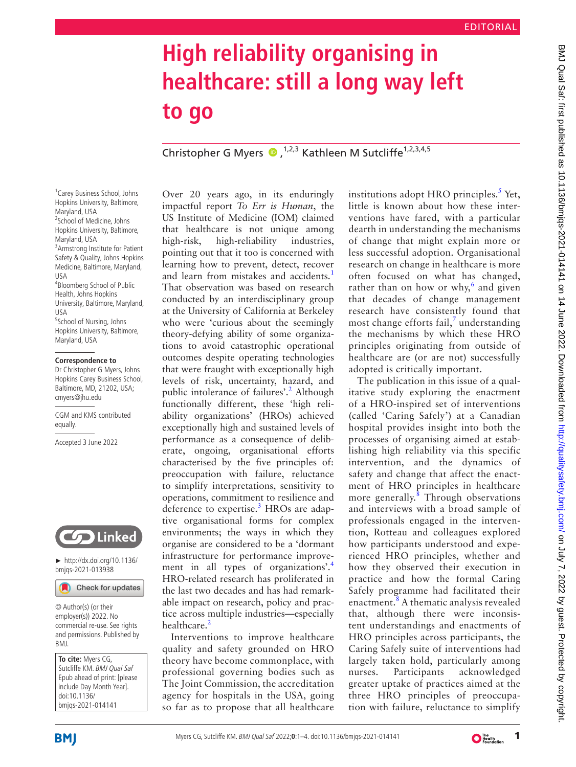# **High reliability organising in healthcare: still a long way left to go**

ChristopherG Myers  $\bullet$ ,<sup>1,2,3</sup> Kathleen M Sutcliffe<sup>1,2,3,4,5</sup>

1 Carey Business School, Johns Hopkins University, Baltimore, Maryland, USA 2 School of Medicine, Johns Hopkins University, Baltimore, Maryland, USA 3 Armstrong Institute for Patient Safety & Quality, Johns Hopkins Medicine, Baltimore, Maryland, USA 4 Bloomberg School of Public Health, Johns Hopkins University, Baltimore, Maryland, USA <sup>5</sup>School of Nursing, Johns Hopkins University, Baltimore, Maryland, USA

#### **Correspondence to**

Dr Christopher G Myers, Johns Hopkins Carey Business School, Baltimore, MD, 21202, USA; cmyers@jhu.edu

CGM and KMS contributed equally.

Accepted 3 June 2022



► [http://dx.doi.org/10.1136/](http://​dx.​doi.​org/​10.​1136/bmjqs-2021-013938) [bmjqs-2021-013938](http://​dx.​doi.​org/​10.​1136/bmjqs-2021-013938)

Check for updates

© Author(s) (or their employer(s)) 2022. No commercial re-use. See rights and permissions. Published by BMJ.

**To cite:** Myers CG, Sutcliffe KM. BMJ Qual Saf Epub ahead of print: [please include Day Month Year]. doi:10.1136/ bmjqs-2021-014141

Over 20 years ago, in its enduringly impactful report *To Err is Human*, the US Institute of Medicine (IOM) claimed that healthcare is not unique among high-risk, high-reliability industries, pointing out that it too is concerned with learning how to prevent, detect, recover and learn from mistakes and accidents.<sup>[1](#page-3-0)</sup> That observation was based on research conducted by an interdisciplinary group at the University of California at Berkeley who were 'curious about the seemingly theory-defying ability of some organizations to avoid catastrophic operational outcomes despite operating technologies that were fraught with exceptionally high levels of risk, uncertainty, hazard, and public intolerance of failures'.<sup>2</sup> Although functionally different, these 'high reliability organizations' (HROs) achieved exceptionally high and sustained levels of performance as a consequence of deliberate, ongoing, organisational efforts characterised by the five principles of: preoccupation with failure, reluctance to simplify interpretations, sensitivity to operations, commitment to resilience and deference to expertise.<sup>[3](#page-3-2)</sup> HROs are adaptive organisational forms for complex environments; the ways in which they organise are considered to be a 'dormant infrastructure for performance improve-ment in all types of organizations'.<sup>[4](#page-3-3)</sup> HRO-related research has proliferated in the last two decades and has had remarkable impact on research, policy and practice across multiple industries—especially healthcare.<sup>[2](#page-3-1)</sup>

Interventions to improve healthcare quality and safety grounded on HRO theory have become commonplace, with professional governing bodies such as The Joint Commission, the accreditation agency for hospitals in the USA, going so far as to propose that all healthcare

institutions adopt HRO principles.<sup>[5](#page-3-4)</sup> Yet, little is known about how these interventions have fared, with a particular dearth in understanding the mechanisms of change that might explain more or less successful adoption. Organisational research on change in healthcare is more often focused on what has changed, rather than on how or why, $6$  and given that decades of change management research have consistently found that most change efforts fail,<sup>[7](#page-3-6)</sup> understanding the mechanisms by which these HRO principles originating from outside of healthcare are (or are not) successfully adopted is critically important.

The publication in this issue of a qualitative study exploring the enactment of a HRO-inspired set of interventions (called 'Caring Safely') at a Canadian hospital provides insight into both the processes of organising aimed at establishing high reliability via this specific intervention, and the dynamics of safety and change that affect the enactment of HRO principles in healthcare more generally.<sup>[8](#page-3-7)</sup> Through observations and interviews with a broad sample of professionals engaged in the intervention, Rotteau and colleagues explored how participants understood and experienced HRO principles, whether and how they observed their execution in practice and how the formal Caring Safely programme had facilitated their enactment.<sup>[8](#page-3-7)</sup> A thematic analysis revealed that, although there were inconsistent understandings and enactments of HRO principles across participants, the Caring Safely suite of interventions had largely taken hold, particularly among nurses. Participants acknowledged greater uptake of practices aimed at the three HRO principles of preoccupation with failure, reluctance to simplify

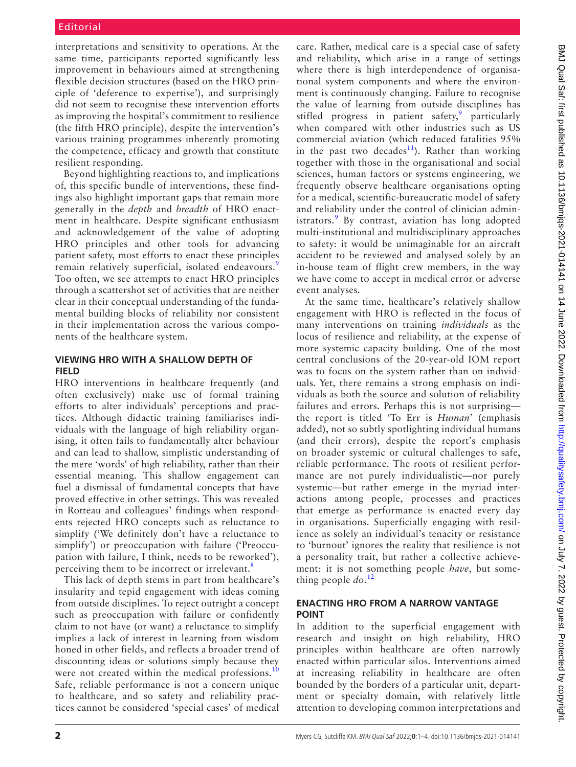interpretations and sensitivity to operations. At the same time, participants reported significantly less improvement in behaviours aimed at strengthening flexible decision structures (based on the HRO principle of 'deference to expertise'), and surprisingly did not seem to recognise these intervention efforts as improving the hospital's commitment to resilience (the fifth HRO principle), despite the intervention's various training programmes inherently promoting the competence, efficacy and growth that constitute resilient responding.

Beyond highlighting reactions to, and implications of, this specific bundle of interventions, these findings also highlight important gaps that remain more generally in the *depth* and *breadth* of HRO enactment in healthcare. Despite significant enthusiasm and acknowledgement of the value of adopting HRO principles and other tools for advancing patient safety, most efforts to enact these principles remain relatively superficial, isolated endeavours.<sup>[9](#page-3-8)</sup> Too often, we see attempts to enact HRO principles through a scattershot set of activities that are neither clear in their conceptual understanding of the fundamental building blocks of reliability nor consistent in their implementation across the various components of the healthcare system.

## **VIEWING HRO WITH A SHALLOW DEPTH OF FIELD**

HRO interventions in healthcare frequently (and often exclusively) make use of formal training efforts to alter individuals' perceptions and practices. Although didactic training familiarises individuals with the language of high reliability organising, it often fails to fundamentally alter behaviour and can lead to shallow, simplistic understanding of the mere 'words' of high reliability, rather than their essential meaning. This shallow engagement can fuel a dismissal of fundamental concepts that have proved effective in other settings. This was revealed in Rotteau and colleagues' findings when respondents rejected HRO concepts such as reluctance to simplify ('We definitely don't have a reluctance to simplify') or preoccupation with failure ('Preoccupation with failure, I think, needs to be reworked'), perceiving them to be incorrect or irrelevant.<sup>[8](#page-3-7)</sup>

This lack of depth stems in part from healthcare's insularity and tepid engagement with ideas coming from outside disciplines. To reject outright a concept such as preoccupation with failure or confidently claim to not have (or want) a reluctance to simplify implies a lack of interest in learning from wisdom honed in other fields, and reflects a broader trend of discounting ideas or solutions simply because they were not created within the medical professions.<sup>[10](#page-3-9)</sup> Safe, reliable performance is not a concern unique to healthcare, and so safety and reliability practices cannot be considered 'special cases' of medical

care. Rather, medical care is a special case of safety and reliability, which arise in a range of settings where there is high interdependence of organisational system components and where the environment is continuously changing. Failure to recognise the value of learning from outside disciplines has stifled progress in patient safety,<sup>[9](#page-3-8)</sup> particularly when compared with other industries such as US commercial aviation (which reduced fatalities 95% in the past two decades<sup>11</sup>). Rather than working together with those in the organisational and social sciences, human factors or systems engineering, we frequently observe healthcare organisations opting for a medical, scientific-bureaucratic model of safety and reliability under the control of clinician admin-istrators.<sup>[9](#page-3-8)</sup> By contrast, aviation has long adopted multi-institutional and multidisciplinary approaches to safety: it would be unimaginable for an aircraft accident to be reviewed and analysed solely by an in-house team of flight crew members, in the way we have come to accept in medical error or adverse event analyses.

At the same time, healthcare's relatively shallow engagement with HRO is reflected in the focus of many interventions on training *individuals* as the locus of resilience and reliability, at the expense of more systemic capacity building. One of the most central conclusions of the 20-year-old IOM report was to focus on the system rather than on individuals. Yet, there remains a strong emphasis on individuals as both the source and solution of reliability failures and errors. Perhaps this is not surprising the report is titled 'To Err is *Human*' (emphasis added), not so subtly spotlighting individual humans (and their errors), despite the report's emphasis on broader systemic or cultural challenges to safe, reliable performance. The roots of resilient performance are not purely individualistic—nor purely systemic—but rather emerge in the myriad interactions among people, processes and practices that emerge as performance is enacted every day in organisations. Superficially engaging with resilience as solely an individual's tenacity or resistance to 'burnout' ignores the reality that resilience is not a personality trait, but rather a collective achievement: it is not something people *have*, but something people *do*. [12](#page-3-11)

## **ENACTING HRO FROM A NARROW VANTAGE POINT**

In addition to the superficial engagement with research and insight on high reliability, HRO principles within healthcare are often narrowly enacted within particular silos. Interventions aimed at increasing reliability in healthcare are often bounded by the borders of a particular unit, department or specialty domain, with relatively little attention to developing common interpretations and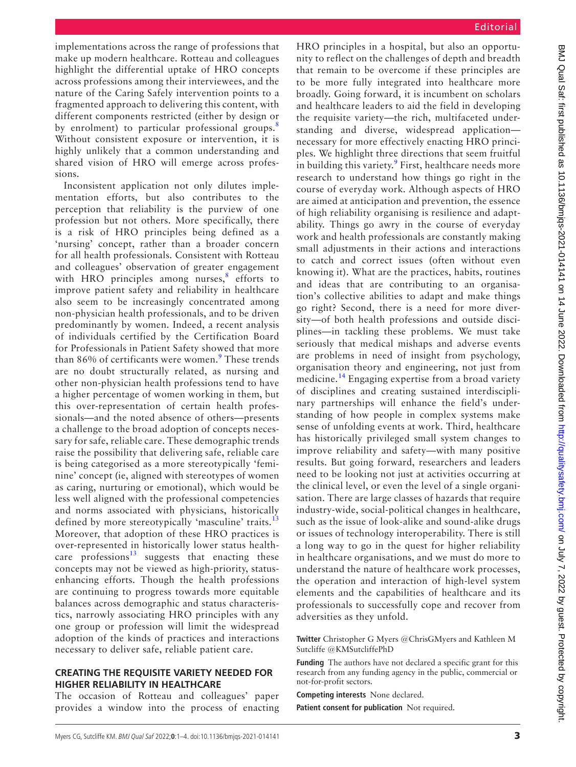implementations across the range of professions that make up modern healthcare. Rotteau and colleagues highlight the differential uptake of HRO concepts across professions among their interviewees, and the nature of the Caring Safely intervention points to a fragmented approach to delivering this content, with different components restricted (either by design or by enrolment) to particular professional groups.<sup>[8](#page-3-7)</sup> Without consistent exposure or intervention, it is highly unlikely that a common understanding and shared vision of HRO will emerge across professions.

Inconsistent application not only dilutes implementation efforts, but also contributes to the perception that reliability is the purview of one profession but not others. More specifically, there is a risk of HRO principles being defined as a 'nursing' concept, rather than a broader concern for all health professionals. Consistent with Rotteau and colleagues' observation of greater engagement with HRO principles among nurses, $8$  efforts to improve patient safety and reliability in healthcare also seem to be increasingly concentrated among non-physician health professionals, and to be driven predominantly by women. Indeed, a recent analysis of individuals certified by the Certification Board for Professionals in Patient Safety showed that more than 86% of certificants were women.<sup>[9](#page-3-8)</sup> These trends are no doubt structurally related, as nursing and other non-physician health professions tend to have a higher percentage of women working in them, but this over-representation of certain health professionals—and the noted absence of others—presents a challenge to the broad adoption of concepts necessary for safe, reliable care. These demographic trends raise the possibility that delivering safe, reliable care is being categorised as a more stereotypically 'feminine' concept (ie, aligned with stereotypes of women as caring, nurturing or emotional), which would be less well aligned with the professional competencies and norms associated with physicians, historically defined by more stereotypically 'masculine' traits.<sup>[13](#page-3-12)</sup> Moreover, that adoption of these HRO practices is over-represented in historically lower status healthcare professions<sup>13</sup> suggests that enacting these concepts may not be viewed as high-priority, statusenhancing efforts. Though the health professions are continuing to progress towards more equitable balances across demographic and status characteristics, narrowly associating HRO principles with any one group or profession will limit the widespread adoption of the kinds of practices and interactions necessary to deliver safe, reliable patient care.

#### **CREATING THE REQUISITE VARIETY NEEDED FOR HIGHER RELIABILITY IN HEALTHCARE**

The occasion of Rotteau and colleagues' paper provides a window into the process of enacting HRO principles in a hospital, but also an opportunity to reflect on the challenges of depth and breadth that remain to be overcome if these principles are to be more fully integrated into healthcare more broadly. Going forward, it is incumbent on scholars and healthcare leaders to aid the field in developing the requisite variety—the rich, multifaceted understanding and diverse, widespread application necessary for more effectively enacting HRO principles. We highlight three directions that seem fruitful in building this variety.<sup>[9](#page-3-8)</sup> First, healthcare needs more research to understand how things go right in the course of everyday work. Although aspects of HRO are aimed at anticipation and prevention, the essence of high reliability organising is resilience and adaptability. Things go awry in the course of everyday work and health professionals are constantly making small adjustments in their actions and interactions to catch and correct issues (often without even knowing it). What are the practices, habits, routines and ideas that are contributing to an organisation's collective abilities to adapt and make things go right? Second, there is a need for more diversity—of both health professions and outside disciplines—in tackling these problems. We must take seriously that medical mishaps and adverse events are problems in need of insight from psychology, organisation theory and engineering, not just from medicine.<sup>[14](#page-3-13)</sup> Engaging expertise from a broad variety of disciplines and creating sustained interdisciplinary partnerships will enhance the field's understanding of how people in complex systems make sense of unfolding events at work. Third, healthcare has historically privileged small system changes to improve reliability and safety—with many positive results. But going forward, researchers and leaders need to be looking not just at activities occurring at the clinical level, or even the level of a single organisation. There are large classes of hazards that require industry-wide, social-political changes in healthcare, such as the issue of look-alike and sound-alike drugs or issues of technology interoperability. There is still a long way to go in the quest for higher reliability in healthcare organisations, and we must do more to understand the nature of healthcare work processes, the operation and interaction of high-level system elements and the capabilities of healthcare and its professionals to successfully cope and recover from adversities as they unfold.

**Twitter** Christopher G Myers [@ChrisGMyers](https://twitter.com/ChrisGMyers) and Kathleen M Sutcliffe [@KMSutcliffePhD](https://twitter.com/KMSutcliffePhD)

**Funding** The authors have not declared a specific grant for this research from any funding agency in the public, commercial or not-for-profit sectors.

**Competing interests** None declared.

**Patient consent for publication** Not required.